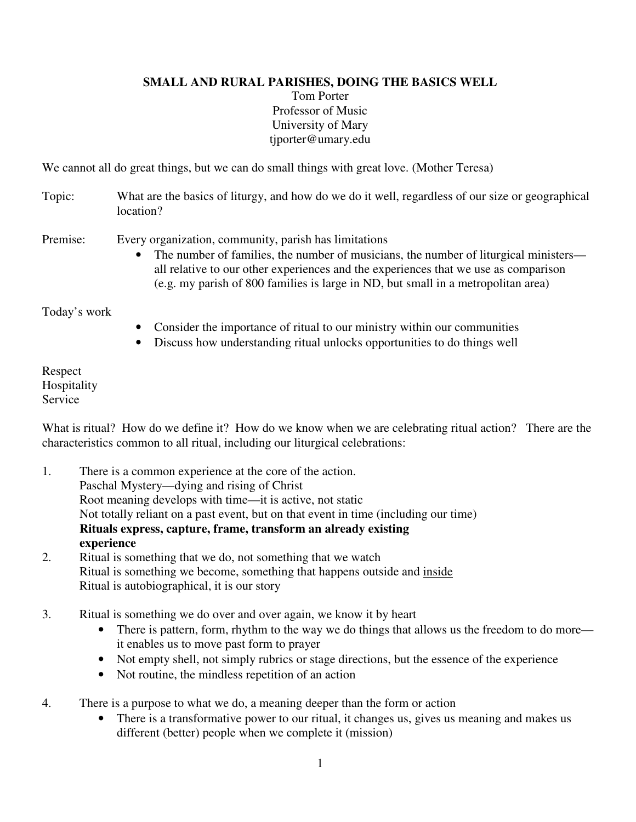## **SMALL AND RURAL PARISHES, DOING THE BASICS WELL**

Tom Porter Professor of Music University of Mary tjporter@umary.edu

We cannot all do great things, but we can do small things with great love. (Mother Teresa)

Topic: What are the basics of liturgy, and how do we do it well, regardless of our size or geographical location?

Premise: Every organization, community, parish has limitations

• The number of families, the number of musicians, the number of liturgical ministers all relative to our other experiences and the experiences that we use as comparison (e.g. my parish of 800 families is large in ND, but small in a metropolitan area)

Today's work

- Consider the importance of ritual to our ministry within our communities
- Discuss how understanding ritual unlocks opportunities to do things well

Respect Hospitality Service

What is ritual? How do we define it? How do we know when we are celebrating ritual action? There are the characteristics common to all ritual, including our liturgical celebrations:

- 1. There is a common experience at the core of the action. Paschal Mystery—dying and rising of Christ Root meaning develops with time—it is active, not static Not totally reliant on a past event, but on that event in time (including our time)  **Rituals express, capture, frame, transform an already existing experience**
- 2. Ritual is something that we do, not something that we watch Ritual is something we become, something that happens outside and inside Ritual is autobiographical, it is our story
- 3. Ritual is something we do over and over again, we know it by heart
	- There is pattern, form, rhythm to the way we do things that allows us the freedom to do more it enables us to move past form to prayer
	- Not empty shell, not simply rubrics or stage directions, but the essence of the experience
	- Not routine, the mindless repetition of an action
- 4. There is a purpose to what we do, a meaning deeper than the form or action
	- There is a transformative power to our ritual, it changes us, gives us meaning and makes us different (better) people when we complete it (mission)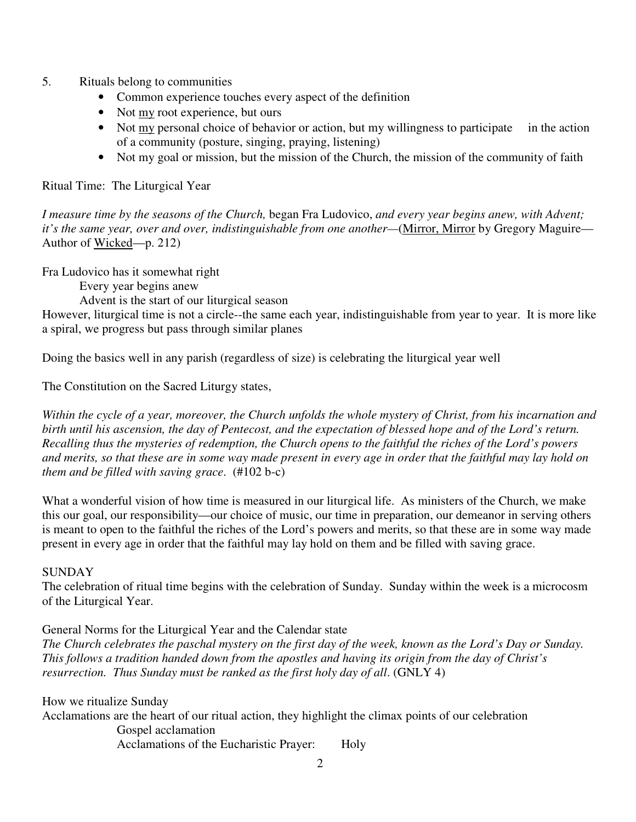- 5. Rituals belong to communities
	- Common experience touches every aspect of the definition
	- Not my root experience, but ours
	- Not my personal choice of behavior or action, but my willingness to participate in the action of a community (posture, singing, praying, listening)
	- Not my goal or mission, but the mission of the Church, the mission of the community of faith

Ritual Time: The Liturgical Year

*I measure time by the seasons of the Church,* began Fra Ludovico, *and every year begins anew, with Advent; it's the same year, over and over, indistinguishable from one another—*(Mirror, Mirror by Gregory Maguire— Author of Wicked—p. 212)

Fra Ludovico has it somewhat right

Every year begins anew

Advent is the start of our liturgical season

However, liturgical time is not a circle--the same each year, indistinguishable from year to year. It is more like a spiral, we progress but pass through similar planes

Doing the basics well in any parish (regardless of size) is celebrating the liturgical year well

The Constitution on the Sacred Liturgy states,

*Within the cycle of a year, moreover, the Church unfolds the whole mystery of Christ, from his incarnation and birth until his ascension, the day of Pentecost, and the expectation of blessed hope and of the Lord's return. Recalling thus the mysteries of redemption, the Church opens to the faithful the riches of the Lord's powers and merits, so that these are in some way made present in every age in order that the faithful may lay hold on them and be filled with saving grace*. (#102 b-c)

What a wonderful vision of how time is measured in our liturgical life. As ministers of the Church, we make this our goal, our responsibility—our choice of music, our time in preparation, our demeanor in serving others is meant to open to the faithful the riches of the Lord's powers and merits, so that these are in some way made present in every age in order that the faithful may lay hold on them and be filled with saving grace.

### **SUNDAY**

The celebration of ritual time begins with the celebration of Sunday. Sunday within the week is a microcosm of the Liturgical Year.

General Norms for the Liturgical Year and the Calendar state

*The Church celebrates the paschal mystery on the first day of the week, known as the Lord's Day or Sunday. This follows a tradition handed down from the apostles and having its origin from the day of Christ's resurrection. Thus Sunday must be ranked as the first holy day of all*. (GNLY 4)

How we ritualize Sunday

Acclamations are the heart of our ritual action, they highlight the climax points of our celebration Gospel acclamation Acclamations of the Eucharistic Prayer: Holy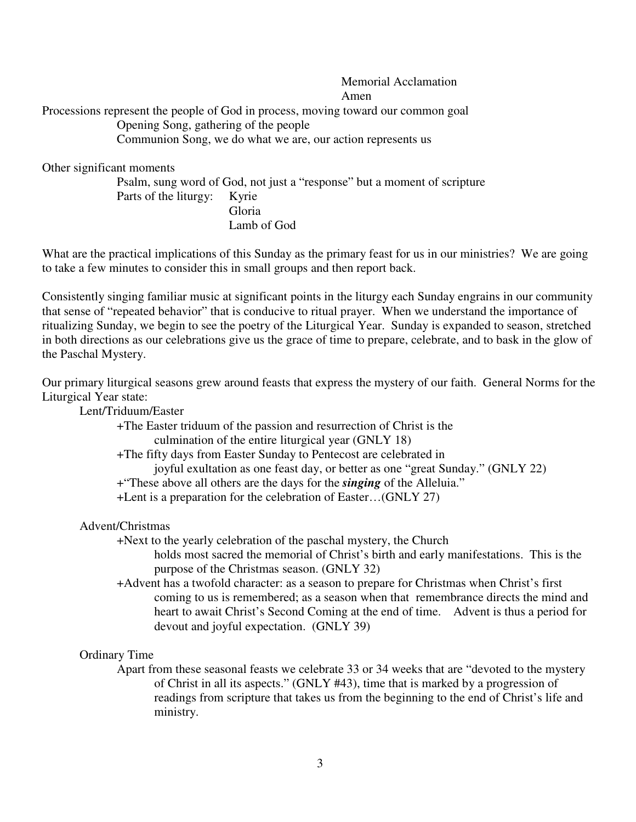Memorial Acclamation Amen Processions represent the people of God in process, moving toward our common goal Opening Song, gathering of the people Communion Song, we do what we are, our action represents us

Other significant moments

 Psalm, sung word of God, not just a "response" but a moment of scripture Parts of the liturgy: Kyrie Gloria Lamb of God

What are the practical implications of this Sunday as the primary feast for us in our ministries? We are going to take a few minutes to consider this in small groups and then report back.

Consistently singing familiar music at significant points in the liturgy each Sunday engrains in our community that sense of "repeated behavior" that is conducive to ritual prayer. When we understand the importance of ritualizing Sunday, we begin to see the poetry of the Liturgical Year. Sunday is expanded to season, stretched in both directions as our celebrations give us the grace of time to prepare, celebrate, and to bask in the glow of the Paschal Mystery.

Our primary liturgical seasons grew around feasts that express the mystery of our faith. General Norms for the Liturgical Year state:

Lent/Triduum/Easter

+The Easter triduum of the passion and resurrection of Christ is the

culmination of the entire liturgical year (GNLY 18)

+The fifty days from Easter Sunday to Pentecost are celebrated in

joyful exultation as one feast day, or better as one "great Sunday." (GNLY 22)

+"These above all others are the days for the *singing* of the Alleluia."

+Lent is a preparation for the celebration of Easter…(GNLY 27)

Advent/Christmas

+Next to the yearly celebration of the paschal mystery, the Church

- holds most sacred the memorial of Christ's birth and early manifestations. This is the purpose of the Christmas season. (GNLY 32)
- +Advent has a twofold character: as a season to prepare for Christmas when Christ's first coming to us is remembered; as a season when that remembrance directs the mind and heart to await Christ's Second Coming at the end of time. Advent is thus a period for devout and joyful expectation. (GNLY 39)

### Ordinary Time

 Apart from these seasonal feasts we celebrate 33 or 34 weeks that are "devoted to the mystery of Christ in all its aspects." (GNLY #43), time that is marked by a progression of readings from scripture that takes us from the beginning to the end of Christ's life and ministry.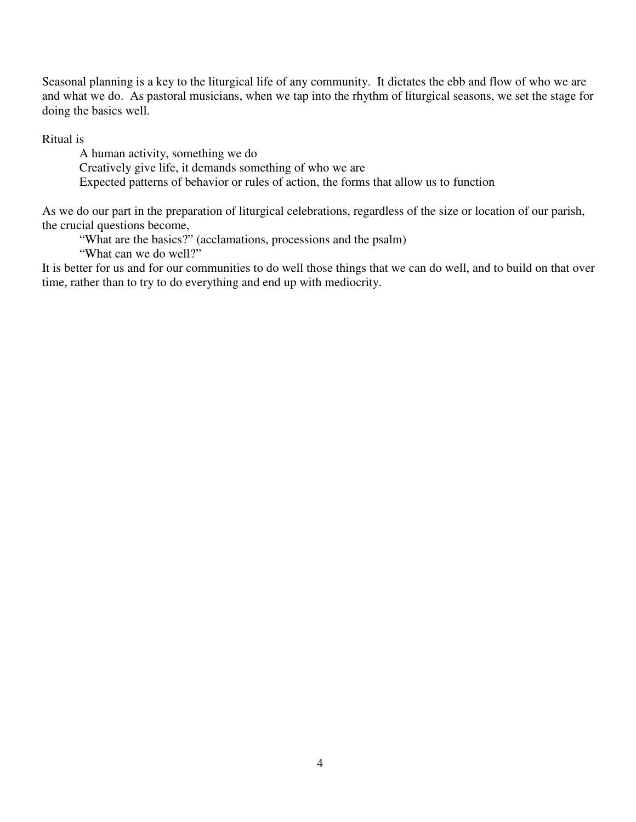Seasonal planning is a key to the liturgical life of any community. It dictates the ebb and flow of who we are and what we do. As pastoral musicians, when we tap into the rhythm of liturgical seasons, we set the stage for doing the basics well.

Ritual is

 A human activity, something we do Creatively give life, it demands something of who we are Expected patterns of behavior or rules of action, the forms that allow us to function

As we do our part in the preparation of liturgical celebrations, regardless of the size or location of our parish, the crucial questions become,

"What are the basics?" (acclamations, processions and the psalm)

"What can we do well?"

It is better for us and for our communities to do well those things that we can do well, and to build on that over time, rather than to try to do everything and end up with mediocrity.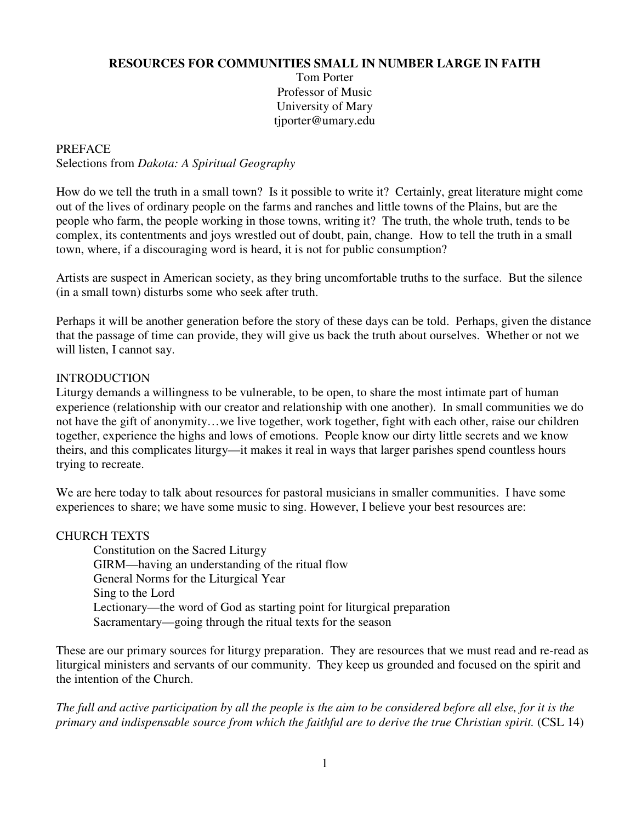### **RESOURCES FOR COMMUNITIES SMALL IN NUMBER LARGE IN FAITH**

Tom Porter Professor of Music University of Mary tjporter@umary.edu

### PREFACE

Selections from *Dakota: A Spiritual Geography*

How do we tell the truth in a small town? Is it possible to write it? Certainly, great literature might come out of the lives of ordinary people on the farms and ranches and little towns of the Plains, but are the people who farm, the people working in those towns, writing it? The truth, the whole truth, tends to be complex, its contentments and joys wrestled out of doubt, pain, change. How to tell the truth in a small town, where, if a discouraging word is heard, it is not for public consumption?

Artists are suspect in American society, as they bring uncomfortable truths to the surface. But the silence (in a small town) disturbs some who seek after truth.

Perhaps it will be another generation before the story of these days can be told. Perhaps, given the distance that the passage of time can provide, they will give us back the truth about ourselves. Whether or not we will listen, I cannot say.

### INTRODUCTION

Liturgy demands a willingness to be vulnerable, to be open, to share the most intimate part of human experience (relationship with our creator and relationship with one another). In small communities we do not have the gift of anonymity…we live together, work together, fight with each other, raise our children together, experience the highs and lows of emotions. People know our dirty little secrets and we know theirs, and this complicates liturgy—it makes it real in ways that larger parishes spend countless hours trying to recreate.

We are here today to talk about resources for pastoral musicians in smaller communities. I have some experiences to share; we have some music to sing. However, I believe your best resources are:

### CHURCH TEXTS

 Constitution on the Sacred Liturgy GIRM—having an understanding of the ritual flow General Norms for the Liturgical Year Sing to the Lord Lectionary—the word of God as starting point for liturgical preparation Sacramentary—going through the ritual texts for the season

These are our primary sources for liturgy preparation. They are resources that we must read and re-read as liturgical ministers and servants of our community. They keep us grounded and focused on the spirit and the intention of the Church.

*The full and active participation by all the people is the aim to be considered before all else, for it is the primary and indispensable source from which the faithful are to derive the true Christian spirit.* (CSL 14)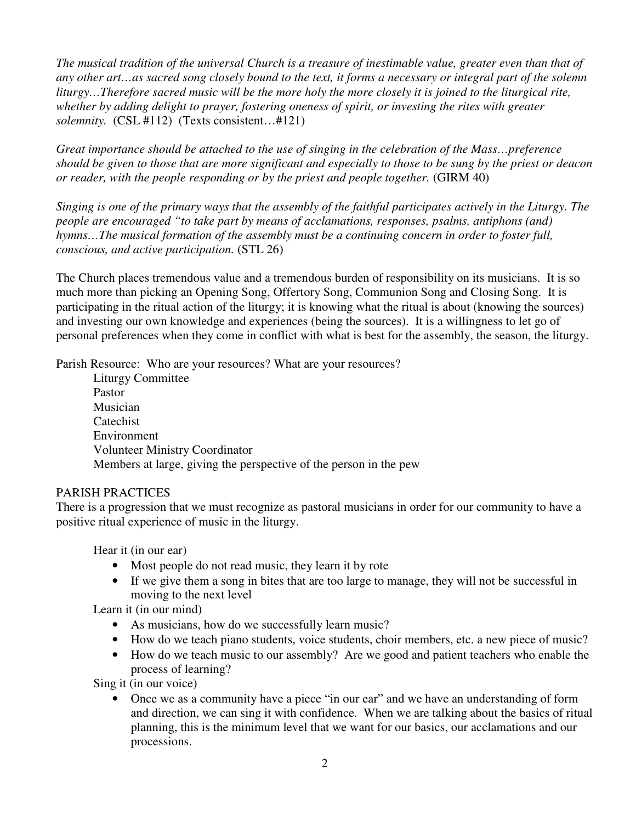*The musical tradition of the universal Church is a treasure of inestimable value, greater even than that of any other art…as sacred song closely bound to the text, it forms a necessary or integral part of the solemn liturgy…Therefore sacred music will be the more holy the more closely it is joined to the liturgical rite, whether by adding delight to prayer, fostering oneness of spirit, or investing the rites with greater solemnity.* (CSL #112) (Texts consistent…#121)

*Great importance should be attached to the use of singing in the celebration of the Mass…preference should be given to those that are more significant and especially to those to be sung by the priest or deacon or reader, with the people responding or by the priest and people together.* (GIRM 40)

*Singing is one of the primary ways that the assembly of the faithful participates actively in the Liturgy. The people are encouraged "to take part by means of acclamations, responses, psalms, antiphons (and) hymns…The musical formation of the assembly must be a continuing concern in order to foster full, conscious, and active participation.* (STL 26)

The Church places tremendous value and a tremendous burden of responsibility on its musicians. It is so much more than picking an Opening Song, Offertory Song, Communion Song and Closing Song. It is participating in the ritual action of the liturgy; it is knowing what the ritual is about (knowing the sources) and investing our own knowledge and experiences (being the sources). It is a willingness to let go of personal preferences when they come in conflict with what is best for the assembly, the season, the liturgy.

Parish Resource: Who are your resources? What are your resources?

Liturgy Committee Pastor Musician **Catechist** Environment Volunteer Ministry Coordinator Members at large, giving the perspective of the person in the pew

### PARISH PRACTICES

There is a progression that we must recognize as pastoral musicians in order for our community to have a positive ritual experience of music in the liturgy.

Hear it (in our ear)

- Most people do not read music, they learn it by rote
- If we give them a song in bites that are too large to manage, they will not be successful in moving to the next level

Learn it (in our mind)

- As musicians, how do we successfully learn music?
- How do we teach piano students, voice students, choir members, etc. a new piece of music?
- How do we teach music to our assembly? Are we good and patient teachers who enable the process of learning?

Sing it (in our voice)

• Once we as a community have a piece "in our ear" and we have an understanding of form and direction, we can sing it with confidence. When we are talking about the basics of ritual planning, this is the minimum level that we want for our basics, our acclamations and our processions.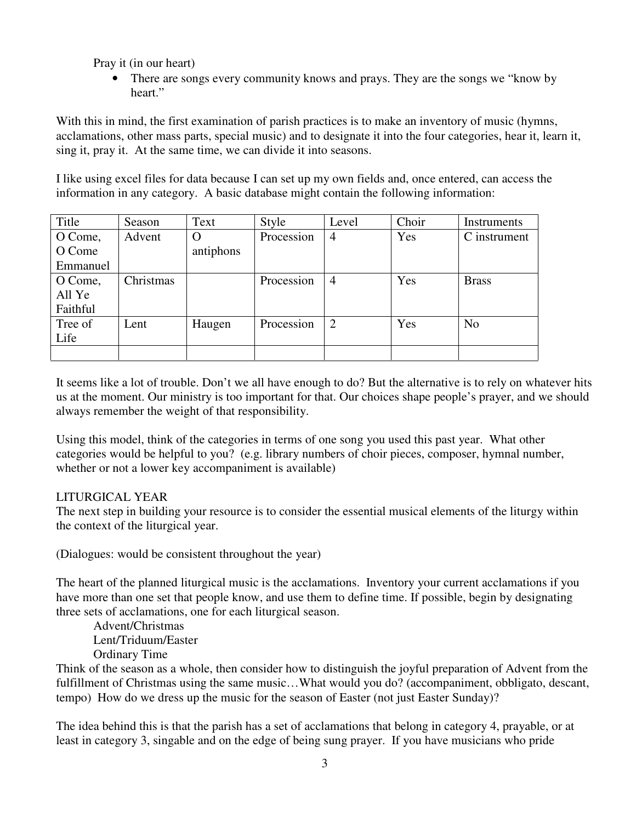Pray it (in our heart)

• There are songs every community knows and prays. They are the songs we "know by" heart."

With this in mind, the first examination of parish practices is to make an inventory of music (hymns, acclamations, other mass parts, special music) and to designate it into the four categories, hear it, learn it, sing it, pray it. At the same time, we can divide it into seasons.

I like using excel files for data because I can set up my own fields and, once entered, can access the information in any category. A basic database might contain the following information:

| Title    | Season    | Text      | Style      | Level          | Choir | Instruments    |
|----------|-----------|-----------|------------|----------------|-------|----------------|
| O Come,  | Advent    | $\Omega$  | Procession | 4              | Yes   | C instrument   |
| O Come   |           | antiphons |            |                |       |                |
| Emmanuel |           |           |            |                |       |                |
| O Come,  | Christmas |           | Procession | $\overline{4}$ | Yes   | <b>Brass</b>   |
| All Ye   |           |           |            |                |       |                |
| Faithful |           |           |            |                |       |                |
| Tree of  | Lent      | Haugen    | Procession | $\overline{2}$ | Yes   | N <sub>o</sub> |
| Life     |           |           |            |                |       |                |
|          |           |           |            |                |       |                |

It seems like a lot of trouble. Don't we all have enough to do? But the alternative is to rely on whatever hits us at the moment. Our ministry is too important for that. Our choices shape people's prayer, and we should always remember the weight of that responsibility.

Using this model, think of the categories in terms of one song you used this past year. What other categories would be helpful to you? (e.g. library numbers of choir pieces, composer, hymnal number, whether or not a lower key accompaniment is available)

# LITURGICAL YEAR

The next step in building your resource is to consider the essential musical elements of the liturgy within the context of the liturgical year.

(Dialogues: would be consistent throughout the year)

The heart of the planned liturgical music is the acclamations. Inventory your current acclamations if you have more than one set that people know, and use them to define time. If possible, begin by designating three sets of acclamations, one for each liturgical season.

Advent/Christmas Lent/Triduum/Easter Ordinary Time

Think of the season as a whole, then consider how to distinguish the joyful preparation of Advent from the fulfillment of Christmas using the same music...What would you do? (accompaniment, obbligato, descant, tempo) How do we dress up the music for the season of Easter (not just Easter Sunday)?

The idea behind this is that the parish has a set of acclamations that belong in category 4, prayable, or at least in category 3, singable and on the edge of being sung prayer. If you have musicians who pride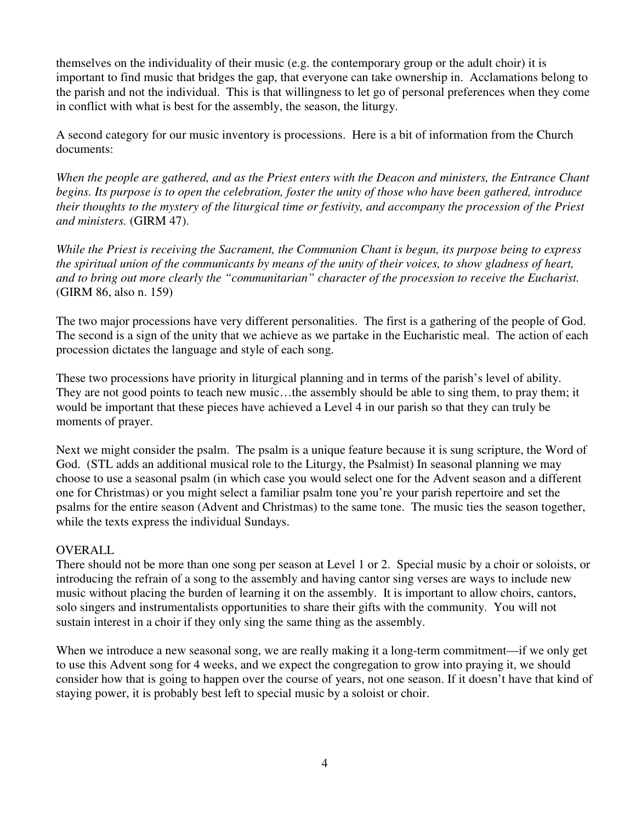themselves on the individuality of their music (e.g. the contemporary group or the adult choir) it is important to find music that bridges the gap, that everyone can take ownership in. Acclamations belong to the parish and not the individual. This is that willingness to let go of personal preferences when they come in conflict with what is best for the assembly, the season, the liturgy.

A second category for our music inventory is processions. Here is a bit of information from the Church documents:

*When the people are gathered, and as the Priest enters with the Deacon and ministers, the Entrance Chant begins. Its purpose is to open the celebration, foster the unity of those who have been gathered, introduce their thoughts to the mystery of the liturgical time or festivity, and accompany the procession of the Priest and ministers.* (GIRM 47).

*While the Priest is receiving the Sacrament, the Communion Chant is begun, its purpose being to express the spiritual union of the communicants by means of the unity of their voices, to show gladness of heart, and to bring out more clearly the "communitarian" character of the procession to receive the Eucharist.* (GIRM 86, also n. 159)

The two major processions have very different personalities. The first is a gathering of the people of God. The second is a sign of the unity that we achieve as we partake in the Eucharistic meal. The action of each procession dictates the language and style of each song.

These two processions have priority in liturgical planning and in terms of the parish's level of ability. They are not good points to teach new music…the assembly should be able to sing them, to pray them; it would be important that these pieces have achieved a Level 4 in our parish so that they can truly be moments of prayer.

Next we might consider the psalm. The psalm is a unique feature because it is sung scripture, the Word of God. (STL adds an additional musical role to the Liturgy, the Psalmist) In seasonal planning we may choose to use a seasonal psalm (in which case you would select one for the Advent season and a different one for Christmas) or you might select a familiar psalm tone you're your parish repertoire and set the psalms for the entire season (Advent and Christmas) to the same tone. The music ties the season together, while the texts express the individual Sundays.

### OVERALL

There should not be more than one song per season at Level 1 or 2. Special music by a choir or soloists, or introducing the refrain of a song to the assembly and having cantor sing verses are ways to include new music without placing the burden of learning it on the assembly. It is important to allow choirs, cantors, solo singers and instrumentalists opportunities to share their gifts with the community. You will not sustain interest in a choir if they only sing the same thing as the assembly.

When we introduce a new seasonal song, we are really making it a long-term commitment—if we only get to use this Advent song for 4 weeks, and we expect the congregation to grow into praying it, we should consider how that is going to happen over the course of years, not one season. If it doesn't have that kind of staying power, it is probably best left to special music by a soloist or choir.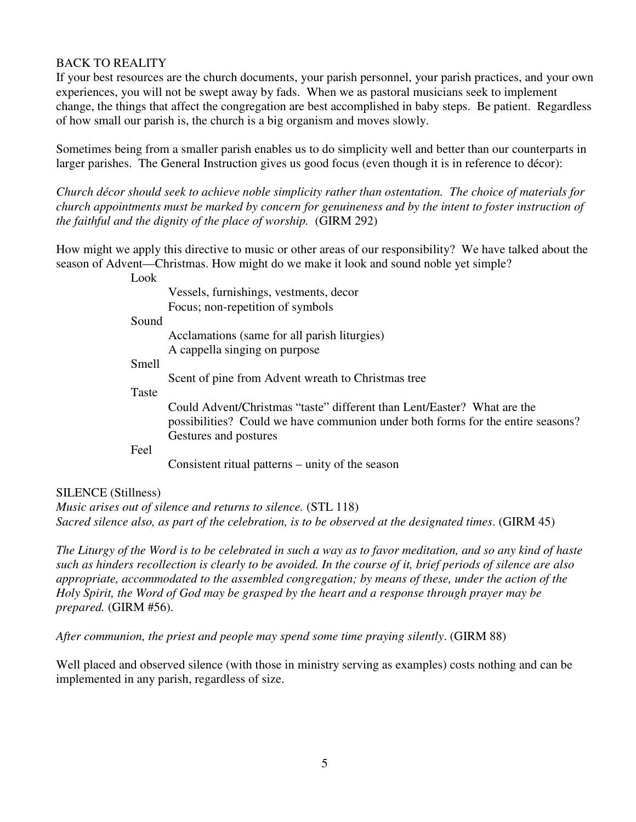## BACK TO REALITY

If your best resources are the church documents, your parish personnel, your parish practices, and your own experiences, you will not be swept away by fads. When we as pastoral musicians seek to implement change, the things that affect the congregation are best accomplished in baby steps. Be patient. Regardless of how small our parish is, the church is a big organism and moves slowly.

Sometimes being from a smaller parish enables us to do simplicity well and better than our counterparts in larger parishes. The General Instruction gives us good focus (even though it is in reference to décor):

*Church décor should seek to achieve noble simplicity rather than ostentation. The choice of materials for church appointments must be marked by concern for genuineness and by the intent to foster instruction of the faithful and the dignity of the place of worship.* (GIRM 292)

How might we apply this directive to music or other areas of our responsibility? We have talked about the season of Advent—Christmas. How might do we make it look and sound noble yet simple?

Look

|       | Vessels, furnishings, vestments, decor                                          |
|-------|---------------------------------------------------------------------------------|
|       | Focus; non-repetition of symbols                                                |
| Sound |                                                                                 |
|       | Acclamations (same for all parish liturgies)                                    |
|       | A cappella singing on purpose                                                   |
| Smell |                                                                                 |
|       | Scent of pine from Advent wreath to Christmas tree                              |
| Taste |                                                                                 |
|       | Could Advent/Christmas "taste" different than Lent/Easter? What are the         |
|       | possibilities? Could we have communion under both forms for the entire seasons? |
|       | Gestures and postures                                                           |
| Feel  |                                                                                 |
|       | Consistent ritual patterns – unity of the season                                |
|       |                                                                                 |

### SILENCE (Stillness)

*Music arises out of silence and returns to silence.* (STL 118) *Sacred silence also, as part of the celebration, is to be observed at the designated times*. (GIRM 45)

*The Liturgy of the Word is to be celebrated in such a way as to favor meditation, and so any kind of haste such as hinders recollection is clearly to be avoided. In the course of it, brief periods of silence are also appropriate, accommodated to the assembled congregation; by means of these, under the action of the Holy Spirit, the Word of God may be grasped by the heart and a response through prayer may be prepared.* (GIRM #56).

*After communion, the priest and people may spend some time praying silently*. (GIRM 88)

Well placed and observed silence (with those in ministry serving as examples) costs nothing and can be implemented in any parish, regardless of size.